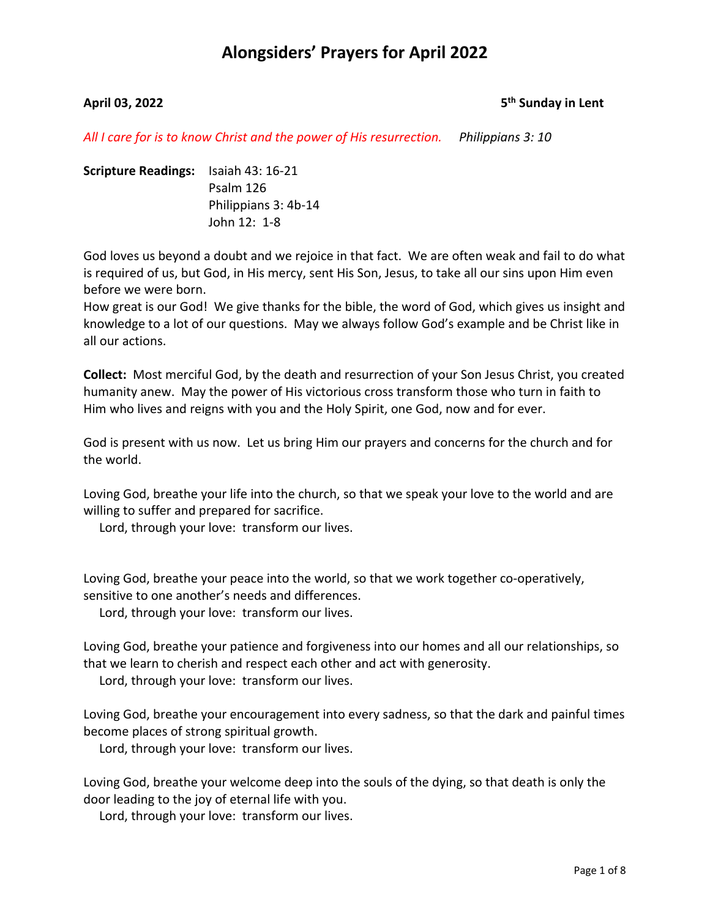### **April 03, 2022 5th Sunday in Lent**

*All I care for is to know Christ and the power of His resurrection. Philippians 3: 10*

**Scripture Readings:** Isaiah 43: 16-21 Psalm 126 Philippians 3: 4b-14 John 12: 1-8

God loves us beyond a doubt and we rejoice in that fact. We are often weak and fail to do what is required of us, but God, in His mercy, sent His Son, Jesus, to take all our sins upon Him even before we were born.

How great is our God! We give thanks for the bible, the word of God, which gives us insight and knowledge to a lot of our questions. May we always follow God's example and be Christ like in all our actions.

**Collect:** Most merciful God, by the death and resurrection of your Son Jesus Christ, you created humanity anew. May the power of His victorious cross transform those who turn in faith to Him who lives and reigns with you and the Holy Spirit, one God, now and for ever.

God is present with us now. Let us bring Him our prayers and concerns for the church and for the world.

Loving God, breathe your life into the church, so that we speak your love to the world and are willing to suffer and prepared for sacrifice.

Lord, through your love: transform our lives.

Loving God, breathe your peace into the world, so that we work together co-operatively, sensitive to one another's needs and differences.

Lord, through your love: transform our lives.

Loving God, breathe your patience and forgiveness into our homes and all our relationships, so that we learn to cherish and respect each other and act with generosity.

Lord, through your love: transform our lives.

Loving God, breathe your encouragement into every sadness, so that the dark and painful times become places of strong spiritual growth.

Lord, through your love: transform our lives.

Loving God, breathe your welcome deep into the souls of the dying, so that death is only the door leading to the joy of eternal life with you.

Lord, through your love: transform our lives.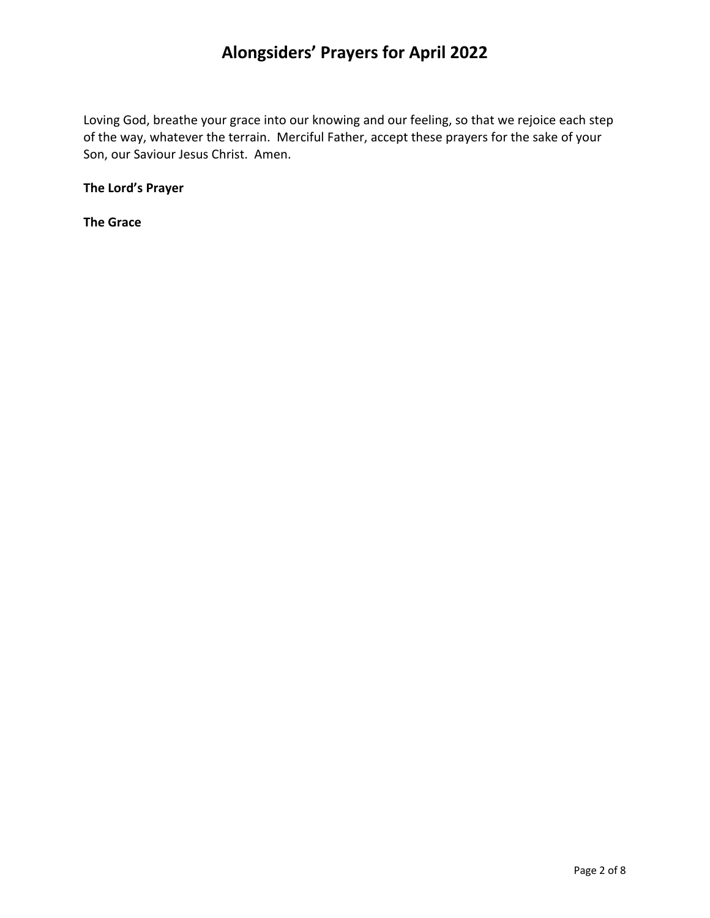Loving God, breathe your grace into our knowing and our feeling, so that we rejoice each step of the way, whatever the terrain. Merciful Father, accept these prayers for the sake of your Son, our Saviour Jesus Christ. Amen.

**The Lord's Prayer**

**The Grace**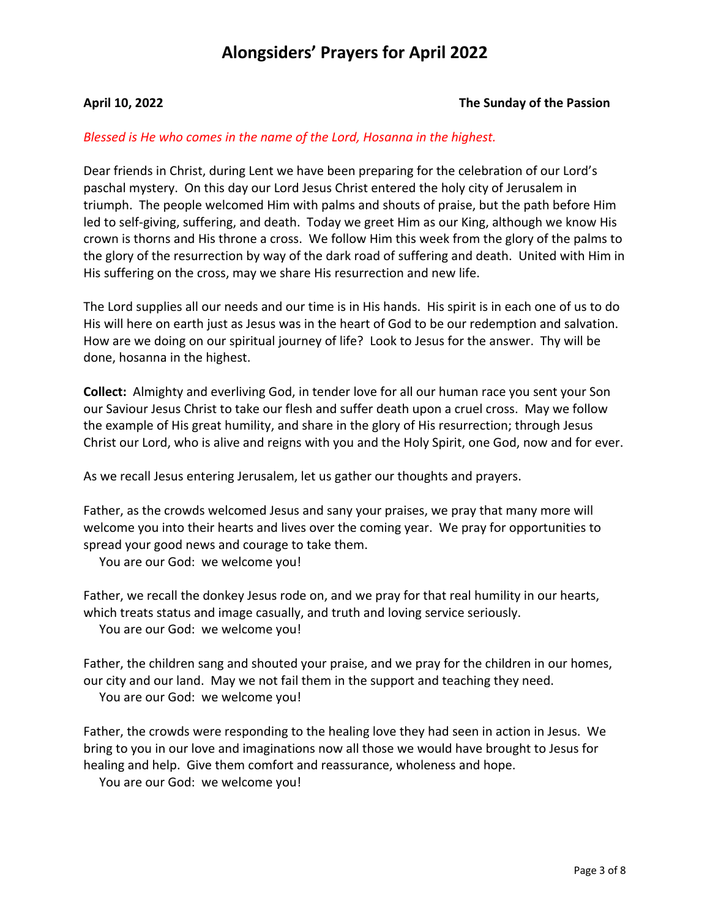#### **April 10, 2022 The Sunday of the Passion**

#### *Blessed is He who comes in the name of the Lord, Hosanna in the highest.*

Dear friends in Christ, during Lent we have been preparing for the celebration of our Lord's paschal mystery. On this day our Lord Jesus Christ entered the holy city of Jerusalem in triumph. The people welcomed Him with palms and shouts of praise, but the path before Him led to self-giving, suffering, and death. Today we greet Him as our King, although we know His crown is thorns and His throne a cross. We follow Him this week from the glory of the palms to the glory of the resurrection by way of the dark road of suffering and death. United with Him in His suffering on the cross, may we share His resurrection and new life.

The Lord supplies all our needs and our time is in His hands. His spirit is in each one of us to do His will here on earth just as Jesus was in the heart of God to be our redemption and salvation. How are we doing on our spiritual journey of life? Look to Jesus for the answer. Thy will be done, hosanna in the highest.

**Collect:** Almighty and everliving God, in tender love for all our human race you sent your Son our Saviour Jesus Christ to take our flesh and suffer death upon a cruel cross. May we follow the example of His great humility, and share in the glory of His resurrection; through Jesus Christ our Lord, who is alive and reigns with you and the Holy Spirit, one God, now and for ever.

As we recall Jesus entering Jerusalem, let us gather our thoughts and prayers.

Father, as the crowds welcomed Jesus and sany your praises, we pray that many more will welcome you into their hearts and lives over the coming year. We pray for opportunities to spread your good news and courage to take them.

You are our God: we welcome you!

Father, we recall the donkey Jesus rode on, and we pray for that real humility in our hearts, which treats status and image casually, and truth and loving service seriously. You are our God: we welcome you!

Father, the children sang and shouted your praise, and we pray for the children in our homes, our city and our land. May we not fail them in the support and teaching they need. You are our God: we welcome you!

Father, the crowds were responding to the healing love they had seen in action in Jesus. We bring to you in our love and imaginations now all those we would have brought to Jesus for healing and help. Give them comfort and reassurance, wholeness and hope.

You are our God: we welcome you!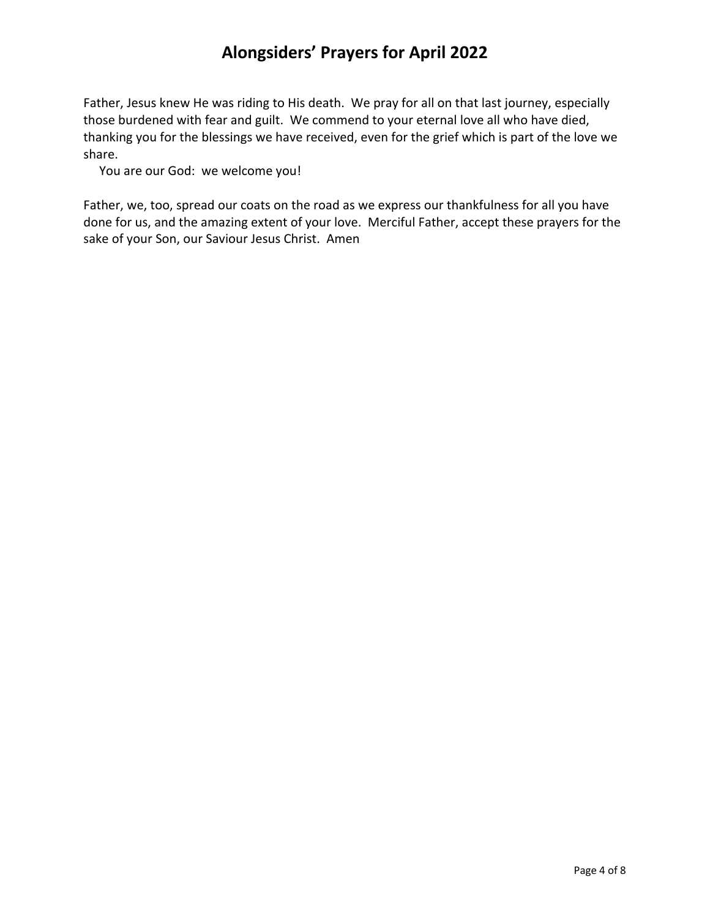Father, Jesus knew He was riding to His death. We pray for all on that last journey, especially those burdened with fear and guilt. We commend to your eternal love all who have died, thanking you for the blessings we have received, even for the grief which is part of the love we share.

You are our God: we welcome you!

Father, we, too, spread our coats on the road as we express our thankfulness for all you have done for us, and the amazing extent of your love. Merciful Father, accept these prayers for the sake of your Son, our Saviour Jesus Christ. Amen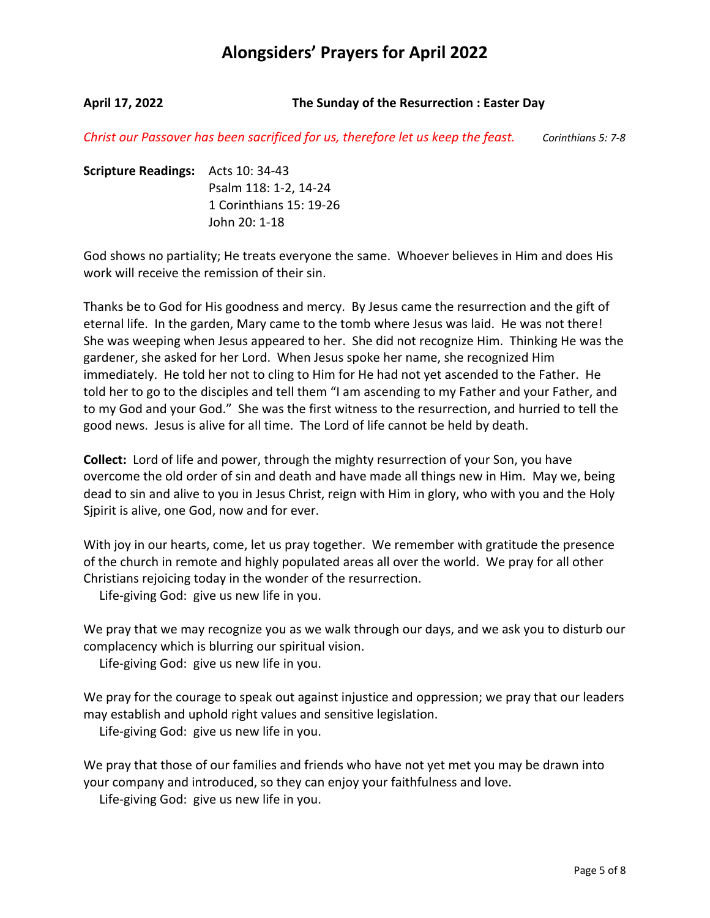**April 17, 2022 The Sunday of the Resurrection : Easter Day**

*Christ our Passover has been sacrificed for us, therefore let us keep the feast. Corinthians 5: 7-8*

**Scripture Readings:** Acts 10: 34-43 Psalm 118: 1-2, 14-24 1 Corinthians 15: 19-26 John 20: 1-18

God shows no partiality; He treats everyone the same. Whoever believes in Him and does His work will receive the remission of their sin.

Thanks be to God for His goodness and mercy. By Jesus came the resurrection and the gift of eternal life. In the garden, Mary came to the tomb where Jesus was laid. He was not there! She was weeping when Jesus appeared to her. She did not recognize Him. Thinking He was the gardener, she asked for her Lord. When Jesus spoke her name, she recognized Him immediately. He told her not to cling to Him for He had not yet ascended to the Father. He told her to go to the disciples and tell them "I am ascending to my Father and your Father, and to my God and your God." She was the first witness to the resurrection, and hurried to tell the good news. Jesus is alive for all time. The Lord of life cannot be held by death.

**Collect:** Lord of life and power, through the mighty resurrection of your Son, you have overcome the old order of sin and death and have made all things new in Him. May we, being dead to sin and alive to you in Jesus Christ, reign with Him in glory, who with you and the Holy Sjpirit is alive, one God, now and for ever.

With joy in our hearts, come, let us pray together. We remember with gratitude the presence of the church in remote and highly populated areas all over the world. We pray for all other Christians rejoicing today in the wonder of the resurrection.

Life-giving God: give us new life in you.

We pray that we may recognize you as we walk through our days, and we ask you to disturb our complacency which is blurring our spiritual vision.

Life-giving God: give us new life in you.

We pray for the courage to speak out against injustice and oppression; we pray that our leaders may establish and uphold right values and sensitive legislation.

Life-giving God: give us new life in you.

We pray that those of our families and friends who have not yet met you may be drawn into your company and introduced, so they can enjoy your faithfulness and love.

Life-giving God: give us new life in you.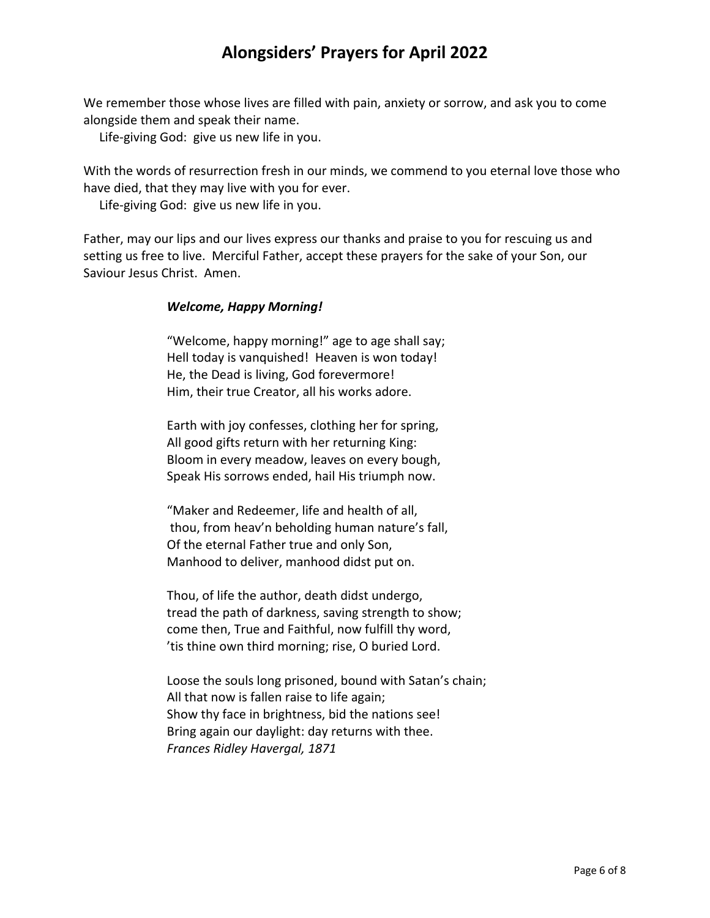We remember those whose lives are filled with pain, anxiety or sorrow, and ask you to come alongside them and speak their name.

Life-giving God: give us new life in you.

With the words of resurrection fresh in our minds, we commend to you eternal love those who have died, that they may live with you for ever.

Life-giving God: give us new life in you.

Father, may our lips and our lives express our thanks and praise to you for rescuing us and setting us free to live. Merciful Father, accept these prayers for the sake of your Son, our Saviour Jesus Christ. Amen.

### *Welcome, Happy Morning!*

"Welcome, happy morning!" age to age shall say; Hell today is vanquished! Heaven is won today! He, the Dead is living, God forevermore! Him, their true Creator, all his works adore.

Earth with joy confesses, clothing her for spring, All good gifts return with her returning King: Bloom in every meadow, leaves on every bough, Speak His sorrows ended, hail His triumph now.

"Maker and Redeemer, life and health of all, thou, from heav'n beholding human nature's fall, Of the eternal Father true and only Son, Manhood to deliver, manhood didst put on.

Thou, of life the author, death didst undergo, tread the path of darkness, saving strength to show; come then, True and Faithful, now fulfill thy word, 'tis thine own third morning; rise, O buried Lord.

Loose the souls long prisoned, bound with Satan's chain; All that now is fallen raise to life again; Show thy face in brightness, bid the nations see! Bring again our daylight: day returns with thee. *Frances Ridley Havergal, 1871*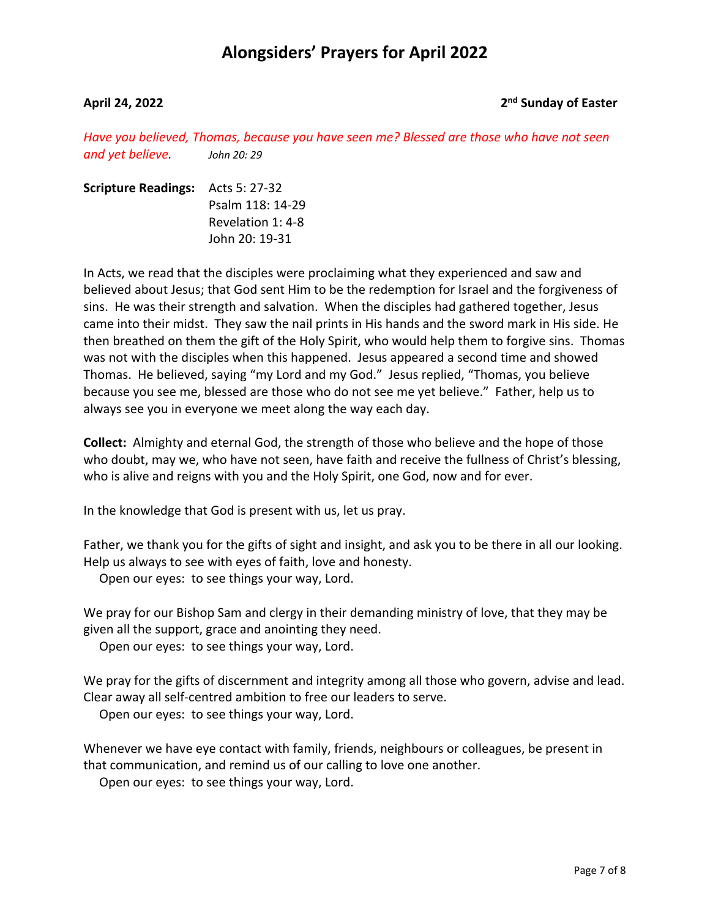### **April 24, 2022 2nd Sunday of Easter**

*Have you believed, Thomas, because you have seen me? Blessed are those who have not seen and yet believe. John 20: 29*

| <b>Scripture Readings:</b> Acts 5: 27-32 |                   |
|------------------------------------------|-------------------|
|                                          | Psalm 118: 14-29  |
|                                          | Revelation 1: 4-8 |
|                                          | John 20: 19-31    |

In Acts, we read that the disciples were proclaiming what they experienced and saw and believed about Jesus; that God sent Him to be the redemption for Israel and the forgiveness of sins. He was their strength and salvation. When the disciples had gathered together, Jesus came into their midst. They saw the nail prints in His hands and the sword mark in His side. He then breathed on them the gift of the Holy Spirit, who would help them to forgive sins. Thomas was not with the disciples when this happened. Jesus appeared a second time and showed Thomas. He believed, saying "my Lord and my God." Jesus replied, "Thomas, you believe because you see me, blessed are those who do not see me yet believe." Father, help us to always see you in everyone we meet along the way each day.

**Collect:** Almighty and eternal God, the strength of those who believe and the hope of those who doubt, may we, who have not seen, have faith and receive the fullness of Christ's blessing, who is alive and reigns with you and the Holy Spirit, one God, now and for ever.

In the knowledge that God is present with us, let us pray.

Father, we thank you for the gifts of sight and insight, and ask you to be there in all our looking. Help us always to see with eyes of faith, love and honesty.

Open our eyes: to see things your way, Lord.

We pray for our Bishop Sam and clergy in their demanding ministry of love, that they may be given all the support, grace and anointing they need.

Open our eyes: to see things your way, Lord.

We pray for the gifts of discernment and integrity among all those who govern, advise and lead. Clear away all self-centred ambition to free our leaders to serve.

Open our eyes: to see things your way, Lord.

Whenever we have eye contact with family, friends, neighbours or colleagues, be present in that communication, and remind us of our calling to love one another.

Open our eyes: to see things your way, Lord.